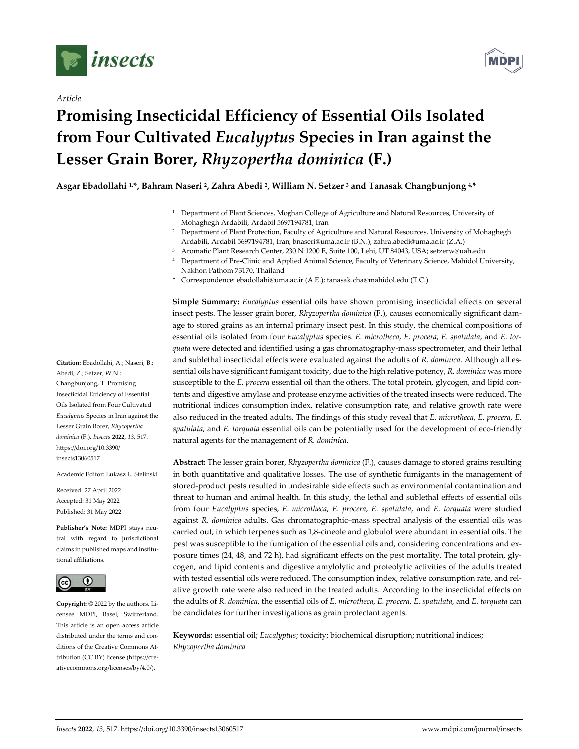

*Article*



# **Promising Insecticidal Efficiency of Essential Oils Isolated from Four Cultivated** *Eucalyptus* **Species in Iran against the Lesser Grain Borer,** *Rhyzopertha dominica* **(F.)**

**Asgar Ebadollahi 1,\*, Bahram Naseri 2, Zahra Abedi 2, William N. Setzer 3 and Tanasak Changbunjong 4, \***

- <sup>1</sup> Department of Plant Sciences, Moghan College of Agriculture and Natural Resources, University of Mohaghegh Ardabili, Ardabil 5697194781, Iran
- <sup>2</sup> Department of Plant Protection, Faculty of Agriculture and Natural Resources, University of Mohaghegh Ardabili, Ardabil 5697194781, Iran; bnaseri@uma.ac.ir (B.N.); zahra.abedi@uma.ac.ir (Z.A.)
- <sup>3</sup> Aromatic Plant Research Center, 230 N 1200 E, Suite 100, Lehi, UT 84043, USA; setzerw@uah.edu
- <sup>4</sup> Department of Pre-Clinic and Applied Animal Science, Faculty of Veterinary Science, Mahidol University, Nakhon Pathom 73170, Thailand
- \* Correspondence: ebadollahi@uma.ac.ir (A.E.); tanasak.cha@mahidol.edu (T.C.)

**Simple Summary:** *Eucalyptus* essential oils have shown promising insecticidal effects on several insect pests. The lesser grain borer, *Rhyzopertha dominica* (F.), causes economically significant damage to stored grains as an internal primary insect pest. In this study, the chemical compositions of essential oils isolated from four *Eucalyptus* species. *E. microtheca*, *E. procera*, *E. spatulata*, and *E. torquata* were detected and identified using a gas chromatography-mass spectrometer, and their lethal and sublethal insecticidal effects were evaluated against the adults of *R. dominica*. Although all essential oils have significant fumigant toxicity, due to the high relative potency, *R. dominica* was more susceptible to the *E. procera* essential oil than the others. The total protein, glycogen, and lipid contents and digestive amylase and protease enzyme activities of the treated insects were reduced. The nutritional indices consumption index, relative consumption rate, and relative growth rate were also reduced in the treated adults. The findings of this study reveal that *E. microtheca*, *E. procera*, *E. spatulata*, and *E. torquata* essential oils can be potentially used for the development of eco-friendly natural agents for the management of *R. dominica*.

**Abstract:** The lesser grain borer, *Rhyzopertha dominica* (F.), causes damage to stored grains resulting in both quantitative and qualitative losses. The use of synthetic fumigants in the management of stored-product pests resulted in undesirable side effects such as environmental contamination and threat to human and animal health. In this study, the lethal and sublethal effects of essential oils from four *Eucalyptus* species, *E. microtheca*, *E. procera*, *E. spatulata*, and *E. torquata* were studied against *R. dominica* adults. Gas chromatographic–mass spectral analysis of the essential oils was carried out, in which terpenes such as 1,8-cineole and globulol were abundant in essential oils. The pest was susceptible to the fumigation of the essential oils and, considering concentrations and exposure times (24, 48, and 72 h), had significant effects on the pest mortality. The total protein, glycogen, and lipid contents and digestive amylolytic and proteolytic activities of the adults treated with tested essential oils were reduced. The consumption index, relative consumption rate, and relative growth rate were also reduced in the treated adults. According to the insecticidal effects on the adults of *R. dominica*, the essential oils of *E. microtheca*, *E. procera*, *E. spatulata*, and *E. torquata* can be candidates for further investigations as grain protectant agents.

**Keywords:** essential oil; *Eucalyptus*; toxicity; biochemical disruption; nutritional indices; *Rhyzopertha dominica*

**Citation:** Ebadollahi, A.; Naseri, B.; Abedi, Z.; Setzer, W.N.; Changbunjong, T. Promising Insecticidal Efficiency of Essential Oils Isolated from Four Cultivated *Eucalyptus* Species in Iran against the Lesser Grain Borer, *Rhyzopertha dominica* (F.). *Insects* **2022**, *13*, 517. https://doi.org/10.3390/ insects13060517

Academic Editor: Lukasz L. Stelinski

Received: 27 April 2022 Accepted: 31 May 2022 Published: 31 May 2022

**Publisher's Note:** MDPI stays neutral with regard to jurisdictional claims in published maps and institutional affiliations.



**Copyright:** © 2022 by the authors. Licensee MDPI, Basel, Switzerland. This article is an open access article distributed under the terms and conditions of the Creative Commons Attribution (CC BY) license (https://creativecommons.org/licenses/by/4.0/).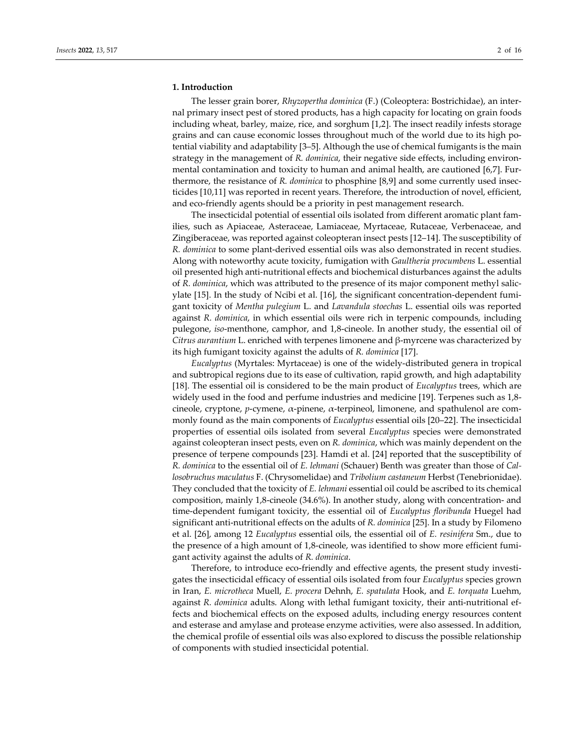# **1. Introduction**

The lesser grain borer, *Rhyzopertha dominica* (F.) (Coleoptera: Bostrichidae), an internal primary insect pest of stored products, has a high capacity for locating on grain foods including wheat, barley, maize, rice, and sorghum [1,2]. The insect readily infests storage grains and can cause economic losses throughout much of the world due to its high potential viability and adaptability [3–5]. Although the use of chemical fumigants is the main strategy in the management of *R. dominica*, their negative side effects, including environmental contamination and toxicity to human and animal health, are cautioned [6,7]. Furthermore, the resistance of *R. dominica* to phosphine [8,9] and some currently used insecticides [10,11] was reported in recent years. Therefore, the introduction of novel, efficient, and eco-friendly agents should be a priority in pest management research.

The insecticidal potential of essential oils isolated from different aromatic plant families, such as Apiaceae, Asteraceae, Lamiaceae, Myrtaceae, Rutaceae, Verbenaceae, and Zingiberaceae, was reported against coleopteran insect pests [12–14]. The susceptibility of *R. dominica* to some plant-derived essential oils was also demonstrated in recent studies. Along with noteworthy acute toxicity, fumigation with *Gaultheria procumbens* L. essential oil presented high anti-nutritional effects and biochemical disturbances against the adults of *R. dominica*, which was attributed to the presence of its major component methyl salicylate [15]. In the study of Ncibi et al. [16], the significant concentration-dependent fumigant toxicity of *Mentha pulegium* L. and *Lavandula stoechas* L. essential oils was reported against *R. dominica*, in which essential oils were rich in terpenic compounds, including pulegone, *iso*-menthone, camphor, and 1,8-cineole. In another study, the essential oil of *Citrus aurantium* L. enriched with terpenes limonene and β-myrcene was characterized by its high fumigant toxicity against the adults of *R. dominica* [17].

*Eucalyptus* (Myrtales: Myrtaceae) is one of the widely-distributed genera in tropical and subtropical regions due to its ease of cultivation, rapid growth, and high adaptability [18]. The essential oil is considered to be the main product of *Eucalyptus* trees, which are widely used in the food and perfume industries and medicine [19]. Terpenes such as 1,8 cineole, cryptone, *p*-cymene, α-pinene, α-terpineol, limonene, and spathulenol are commonly found as the main components of *Eucalyptus* essential oils [20–22]. The insecticidal properties of essential oils isolated from several *Eucalyptus* species were demonstrated against coleopteran insect pests, even on *R. dominica*, which was mainly dependent on the presence of terpene compounds [23]. Hamdi et al. [24] reported that the susceptibility of *R. dominica* to the essential oil of *E. lehmani* (Schauer) Benth was greater than those of *Callosobruchus maculatus* F. (Chrysomelidae) and *Tribolium castaneum* Herbst (Tenebrionidae). They concluded that the toxicity of *E. lehmani* essential oil could be ascribed to its chemical composition, mainly 1,8-cineole (34.6%). In another study, along with concentration- and time-dependent fumigant toxicity, the essential oil of *Eucalyptus floribunda* Huegel had significant anti-nutritional effects on the adults of *R. dominica* [25]. In a study by Filomeno et al. [26], among 12 *Eucalyptus* essential oils, the essential oil of *E. resinifera* Sm., due to the presence of a high amount of 1,8-cineole, was identified to show more efficient fumigant activity against the adults of *R. dominica*.

Therefore, to introduce eco-friendly and effective agents, the present study investigates the insecticidal efficacy of essential oils isolated from four *Eucalyptus* species grown in Iran, *E. microtheca* Muell, *E. procera* Dehnh, *E. spatulata* Hook, and *E. torquata* Luehm, against *R. dominica* adults. Along with lethal fumigant toxicity, their anti-nutritional effects and biochemical effects on the exposed adults, including energy resources content and esterase and amylase and protease enzyme activities, were also assessed. In addition, the chemical profile of essential oils was also explored to discuss the possible relationship of components with studied insecticidal potential.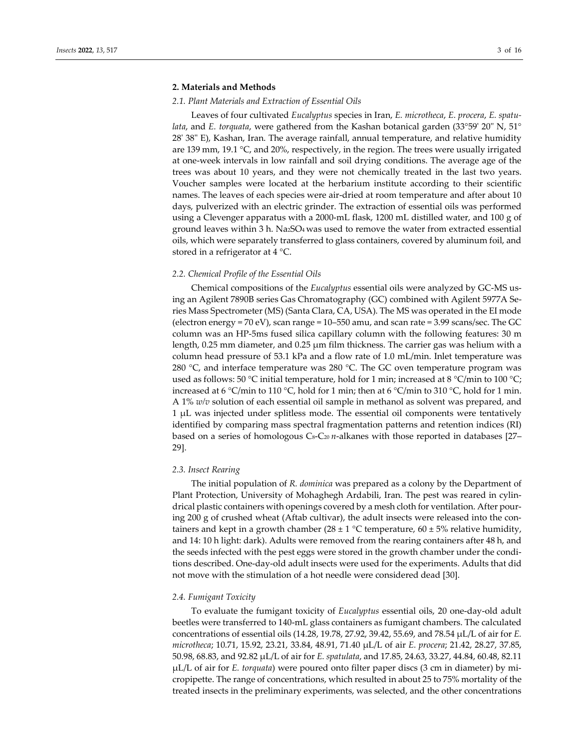# **2. Materials and Methods**

#### *2.1. Plant Materials and Extraction of Essential Oils*

Leaves of four cultivated *Eucalyptus* species in Iran, *E. microtheca*, *E. procera*, *E. spatulata*, and *E. torquata*, were gathered from the Kashan botanical garden (33°59' 20" N, 51° 28' 38" E), Kashan, Iran. The average rainfall, annual temperature, and relative humidity are 139 mm, 19.1 °C, and 20%, respectively, in the region. The trees were usually irrigated at one-week intervals in low rainfall and soil drying conditions. The average age of the trees was about 10 years, and they were not chemically treated in the last two years. Voucher samples were located at the herbarium institute according to their scientific names. The leaves of each species were air-dried at room temperature and after about 10 days, pulverized with an electric grinder. The extraction of essential oils was performed using a Clevenger apparatus with a 2000-mL flask, 1200 mL distilled water, and 100 g of ground leaves within  $3$  h. Na<sub>2</sub>SO<sub>4</sub> was used to remove the water from extracted essential oils, which were separately transferred to glass containers, covered by aluminum foil, and stored in a refrigerator at 4 °C.

#### *2.2. Chemical Profile of the Essential Oils*

Chemical compositions of the *Eucalyptus* essential oils were analyzed by GC-MS using an Agilent 7890B series Gas Chromatography (GC) combined with Agilent 5977A Series Mass Spectrometer (MS) (Santa Clara, CA, USA). The MS was operated in the EI mode (electron energy = 70 eV), scan range = 10–550 amu, and scan rate = 3.99 scans/sec. The GC column was an HP-5ms fused silica capillary column with the following features: 30 m length, 0.25 mm diameter, and 0.25 μm film thickness. The carrier gas was helium with a column head pressure of 53.1 kPa and a flow rate of 1.0 mL/min. Inlet temperature was 280 °C, and interface temperature was 280 °C. The GC oven temperature program was used as follows: 50 °C initial temperature, hold for 1 min; increased at 8 °C/min to 100 °C; increased at 6 °C/min to 110 °C, hold for 1 min; then at 6 °C/min to 310 °C, hold for 1 min. A 1% *w/v* solution of each essential oil sample in methanol as solvent was prepared, and 1 μL was injected under splitless mode. The essential oil components were tentatively identified by comparing mass spectral fragmentation patterns and retention indices (RI) based on a series of homologous C<sub>8</sub>-C<sub>20</sub> *n*-alkanes with those reported in databases [27– 29].

## *2.3. Insect Rearing*

The initial population of *R. dominica* was prepared as a colony by the Department of Plant Protection, University of Mohaghegh Ardabili, Iran. The pest was reared in cylindrical plastic containers with openings covered by a mesh cloth for ventilation. After pouring 200 g of crushed wheat (Aftab cultivar), the adult insects were released into the containers and kept in a growth chamber (28  $\pm$  1 °C temperature, 60  $\pm$  5% relative humidity, and 14: 10 h light: dark). Adults were removed from the rearing containers after 48 h, and the seeds infected with the pest eggs were stored in the growth chamber under the conditions described. One-day-old adult insects were used for the experiments. Adults that did not move with the stimulation of a hot needle were considered dead [30].

# *2.4. Fumigant Toxicity*

To evaluate the fumigant toxicity of *Eucalyptus* essential oils, 20 one-day-old adult beetles were transferred to 140-mL glass containers as fumigant chambers. The calculated concentrations of essential oils (14.28, 19.78, 27.92, 39.42, 55.69, and 78.54 μL/L of air for *E. microtheca*; 10.71, 15.92, 23.21, 33.84, 48.91, 71.40 μL/L of air *E. procera*; 21.42, 28.27, 37.85, 50.98, 68.83, and 92.82 μL/L of air for *E. spatulata*, and 17.85, 24.63, 33.27, 44.84, 60.48, 82.11 μL/L of air for *E. torquata*) were poured onto filter paper discs (3 cm in diameter) by micropipette. The range of concentrations, which resulted in about 25 to 75% mortality of the treated insects in the preliminary experiments, was selected, and the other concentrations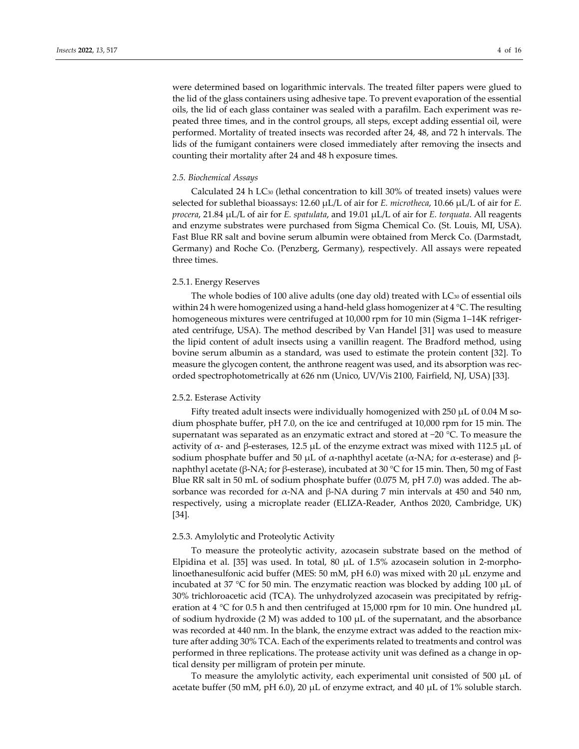were determined based on logarithmic intervals. The treated filter papers were glued to the lid of the glass containers using adhesive tape. To prevent evaporation of the essential oils, the lid of each glass container was sealed with a parafilm. Each experiment was repeated three times, and in the control groups, all steps, except adding essential oil, were performed. Mortality of treated insects was recorded after 24, 48, and 72 h intervals. The lids of the fumigant containers were closed immediately after removing the insects and counting their mortality after 24 and 48 h exposure times.

# *2.5. Biochemical Assays*

Calculated 24 h LC30 (lethal concentration to kill 30% of treated insets) values were selected for sublethal bioassays: 12.60 μL/L of air for *E. microtheca*, 10.66 μL/L of air for *E. procera*, 21.84 μL/L of air for *E. spatulata*, and 19.01 μL/L of air for *E. torquata*. All reagents and enzyme substrates were purchased from Sigma Chemical Co. (St. Louis, MI, USA). Fast Blue RR salt and bovine serum albumin were obtained from Merck Co. (Darmstadt, Germany) and Roche Co. (Penzberg, Germany), respectively. All assays were repeated three times.

## 2.5.1. Energy Reserves

The whole bodies of 100 alive adults (one day old) treated with LC<sub>30</sub> of essential oils within 24 h were homogenized using a hand-held glass homogenizer at 4 °C. The resulting homogeneous mixtures were centrifuged at 10,000 rpm for 10 min (Sigma 1–14K refrigerated centrifuge, USA). The method described by Van Handel [31] was used to measure the lipid content of adult insects using a vanillin reagent. The Bradford method, using bovine serum albumin as a standard, was used to estimate the protein content [32]. To measure the glycogen content, the anthrone reagent was used, and its absorption was recorded spectrophotometrically at 626 nm (Unico, UV/Vis 2100, Fairfield, NJ, USA) [33].

#### 2.5.2. Esterase Activity

Fifty treated adult insects were individually homogenized with 250 μL of 0.04 M sodium phosphate buffer, pH 7.0, on the ice and centrifuged at 10,000 rpm for 15 min. The supernatant was separated as an enzymatic extract and stored at −20 °C. To measure the activity of  $\alpha$ - and β-esterases, 12.5 μL of the enzyme extract was mixed with 112.5 μL of sodium phosphate buffer and 50 μL of  $\alpha$ -naphthyl acetate ( $\alpha$ -NA; for  $\alpha$ -esterase) and βnaphthyl acetate (β-NA; for β-esterase), incubated at 30 °C for 15 min. Then, 50 mg of Fast Blue RR salt in 50 mL of sodium phosphate buffer (0.075 M, pH 7.0) was added. The absorbance was recorded for  $\alpha$ -NA and β-NA during 7 min intervals at 450 and 540 nm, respectively, using a microplate reader (ELIZA-Reader, Anthos 2020, Cambridge, UK) [34].

## 2.5.3. Amylolytic and Proteolytic Activity

To measure the proteolytic activity, azocasein substrate based on the method of Elpidina et al. [35] was used. In total, 80 μL of 1.5% azocasein solution in 2-morpholinoethanesulfonic acid buffer (MES: 50 mM, pH 6.0) was mixed with 20 μL enzyme and incubated at 37 °C for 50 min. The enzymatic reaction was blocked by adding 100 μL of 30% trichloroacetic acid (TCA). The unhydrolyzed azocasein was precipitated by refrigeration at 4 °C for 0.5 h and then centrifuged at 15,000 rpm for 10 min. One hundred μL of sodium hydroxide (2 M) was added to 100 μL of the supernatant, and the absorbance was recorded at 440 nm. In the blank, the enzyme extract was added to the reaction mixture after adding 30% TCA. Each of the experiments related to treatments and control was performed in three replications. The protease activity unit was defined as a change in optical density per milligram of protein per minute.

To measure the amylolytic activity, each experimental unit consisted of 500 μL of acetate buffer (50 mM, pH 6.0), 20  $\mu$ L of enzyme extract, and 40  $\mu$ L of 1% soluble starch.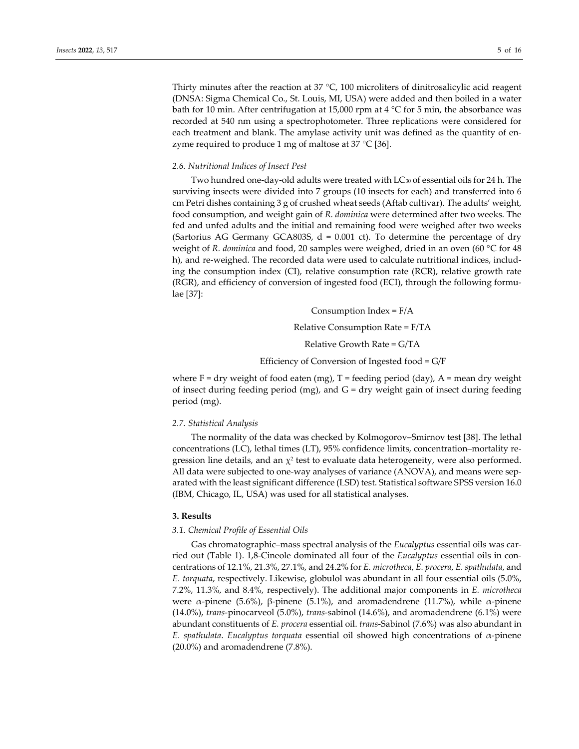Thirty minutes after the reaction at 37 °C, 100 microliters of dinitrosalicylic acid reagent (DNSA: Sigma Chemical Co., St. Louis, MI, USA) were added and then boiled in a water bath for 10 min. After centrifugation at 15,000 rpm at 4  $\degree$ C for 5 min, the absorbance was recorded at 540 nm using a spectrophotometer. Three replications were considered for each treatment and blank. The amylase activity unit was defined as the quantity of enzyme required to produce 1 mg of maltose at 37 °C [36].

# *2.6. Nutritional Indices of Insect Pest*

Two hundred one-day-old adults were treated with LC<sub>30</sub> of essential oils for 24 h. The surviving insects were divided into 7 groups (10 insects for each) and transferred into 6 cm Petri dishes containing 3 g of crushed wheat seeds (Aftab cultivar). The adults' weight, food consumption, and weight gain of *R. dominica* were determined after two weeks. The fed and unfed adults and the initial and remaining food were weighed after two weeks (Sartorius AG Germany GCA803S,  $d = 0.001$  ct). To determine the percentage of dry weight of *R. dominica* and food, 20 samples were weighed, dried in an oven (60 °C for 48 h), and re-weighed. The recorded data were used to calculate nutritional indices, including the consumption index (CI), relative consumption rate (RCR), relative growth rate (RGR), and efficiency of conversion of ingested food (ECI), through the following formulae [37]:

> Consumption Index =  $F/A$ Relative Consumption Rate = F/TA Relative Growth Rate = G/TA Efficiency of Conversion of Ingested food = G/F

where  $F = dry$  weight of food eaten (mg),  $T =$  feeding period (day),  $A =$  mean dry weight of insect during feeding period (mg), and  $G =$  dry weight gain of insect during feeding period (mg).

#### *2.7. Statistical Analysis*

The normality of the data was checked by Kolmogorov–Smirnov test [38]. The lethal concentrations (LC), lethal times (LT), 95% confidence limits, concentration–mortality regression line details, and an  $\chi^2$  test to evaluate data heterogeneity, were also performed. All data were subjected to one-way analyses of variance (ANOVA), and means were separated with the least significant difference (LSD) test. Statistical software SPSS version 16.0 (IBM, Chicago, IL, USA) was used for all statistical analyses.

## **3. Results**

#### *3.1. Chemical Profile of Essential Oils*

Gas chromatographic–mass spectral analysis of the *Eucalyptus* essential oils was carried out (Table 1). 1,8-Cineole dominated all four of the *Eucalyptus* essential oils in concentrations of 12.1%, 21.3%, 27.1%, and 24.2% for *E. microtheca*, *E. procera*, *E. spathulata*, and *E. torquata*, respectively. Likewise, globulol was abundant in all four essential oils (5.0%, 7.2%, 11.3%, and 8.4%, respectively). The additional major components in *E. microtheca* were α-pinene (5.6%), β-pinene (5.1%), and aromadendrene (11.7%), while α-pinene (14.0%), *trans*-pinocarveol (5.0%), *trans*-sabinol (14.6%), and aromadendrene (6.1%) were abundant constituents of *E. procera* essential oil. *trans*-Sabinol (7.6%) was also abundant in *E. spathulata*. *Eucalyptus torquata* essential oil showed high concentrations of α-pinene (20.0%) and aromadendrene (7.8%).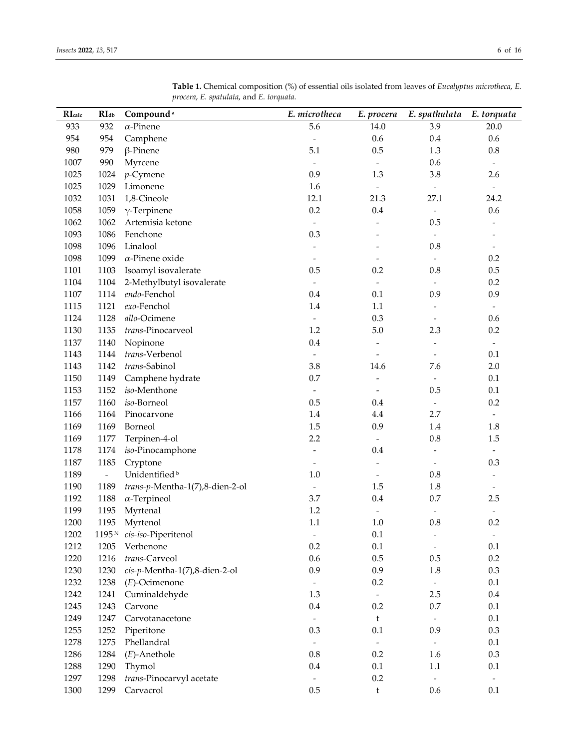| RIcalc | RIdb                     | Compound <sup>a</sup>           | E. microtheca            | E. procera                   | E. spathulata            | E. torquata              |
|--------|--------------------------|---------------------------------|--------------------------|------------------------------|--------------------------|--------------------------|
| 933    | 932                      | $\alpha$ -Pinene                | 5.6                      | 14.0                         | 3.9                      | 20.0                     |
| 954    | 954                      | Camphene                        | $\blacksquare$           | 0.6                          | 0.4                      | 0.6                      |
| 980    | 979                      | $\beta$ -Pinene                 | 5.1                      | 0.5                          | 1.3                      | $0.8\,$                  |
| 1007   | 990                      | Myrcene                         | $\frac{1}{2}$            | $\bar{\phantom{a}}$          | 0.6                      | $\overline{\phantom{a}}$ |
| 1025   | 1024                     | $p$ -Cymene                     | 0.9                      | 1.3                          | $3.8\,$                  | 2.6                      |
| 1025   | 1029                     | Limonene                        | 1.6                      | $\frac{1}{2}$                | $\equiv$                 | $\equiv$                 |
| 1032   | 1031                     | 1,8-Cineole                     | 12.1                     | 21.3                         | 27.1                     | 24.2                     |
| 1058   | 1059                     | $\gamma$ -Terpinene             | 0.2                      | 0.4                          | $\overline{\phantom{a}}$ | 0.6                      |
| 1062   | 1062                     | Artemisia ketone                | $\frac{1}{2}$            | $\qquad \qquad \blacksquare$ | 0.5                      | $\overline{\phantom{a}}$ |
| 1093   | 1086                     | Fenchone                        | 0.3                      | Ĭ.                           | $\overline{\phantom{a}}$ | $\overline{\phantom{0}}$ |
| 1098   | 1096                     | Linalool                        | $\frac{1}{2}$            | $\overline{\phantom{0}}$     | $0.8\,$                  | $\overline{\phantom{a}}$ |
| 1098   | 1099                     | $\alpha$ -Pinene oxide          | $\overline{\phantom{m}}$ | $\overline{\phantom{m}}$     | $\blacksquare$           | 0.2                      |
| 1101   | 1103                     | Isoamyl isovalerate             | 0.5                      | 0.2                          | 0.8                      | $0.5\,$                  |
| 1104   | 1104                     | 2-Methylbutyl isovalerate       | $\overline{\phantom{0}}$ | $\overline{\phantom{a}}$     | $\overline{\phantom{a}}$ | $0.2\,$                  |
| 1107   | 1114                     | endo-Fenchol                    | 0.4                      | 0.1                          | 0.9                      | 0.9                      |
| 1115   | 1121                     | exo-Fenchol                     | $1.4\,$                  | $1.1\,$                      |                          | $\overline{\phantom{a}}$ |
| 1124   | 1128                     | allo-Ocimene                    |                          | 0.3                          | $\overline{\phantom{a}}$ | 0.6                      |
| 1130   | 1135                     | trans-Pinocarveol               | 1.2                      | 5.0                          | 2.3                      | $0.2\,$                  |
| 1137   | 1140                     | Nopinone                        | 0.4                      | $\qquad \qquad -$            | $\overline{\phantom{a}}$ | $\overline{\phantom{a}}$ |
| 1143   | 1144                     | trans-Verbenol                  | $\overline{\phantom{0}}$ | $\overline{\phantom{0}}$     | $\overline{\phantom{a}}$ | 0.1                      |
| 1143   | 1142                     | trans-Sabinol                   | 3.8                      | 14.6                         | 7.6                      | 2.0                      |
| 1150   | 1149                     | Camphene hydrate                | 0.7                      | $\overline{\phantom{m}}$     | $\overline{\phantom{a}}$ | $0.1\,$                  |
| 1153   | 1152                     | iso-Menthone                    | $\overline{\phantom{0}}$ | $\qquad \qquad \blacksquare$ | 0.5                      | 0.1                      |
| 1157   | 1160                     | iso-Borneol                     | 0.5                      | 0.4                          | $\overline{\phantom{a}}$ | $0.2\,$                  |
| 1166   | 1164                     | Pinocarvone                     | 1.4                      | $4.4\,$                      | 2.7                      | $\overline{\phantom{a}}$ |
| 1169   | 1169                     | Borneol                         | 1.5                      | 0.9                          | 1.4                      | 1.8                      |
| 1169   | 1177                     | Terpinen-4-ol                   | 2.2                      | $\overline{\phantom{a}}$     | $0.8\,$                  | 1.5                      |
| 1178   | 1174                     | iso-Pinocamphone                | $\overline{\phantom{a}}$ | 0.4                          | $\overline{\phantom{a}}$ | $\overline{\phantom{a}}$ |
| 1187   | 1185                     | Cryptone                        | $\overline{\phantom{m}}$ | $\overline{a}$               | $\overline{\phantom{a}}$ | 0.3                      |
| 1189   | $\overline{\phantom{a}}$ | Unidentified <sup>b</sup>       | 1.0                      | $\overline{\phantom{a}}$     | $0.8\,$                  | $\overline{\phantom{a}}$ |
| 1190   | 1189                     | trans-p-Mentha-1(7),8-dien-2-ol | $\overline{a}$           | 1.5                          | $1.8\,$                  | $\overline{\phantom{a}}$ |
| 1192   | 1188                     | $\alpha$ -Terpineol             | 3.7                      | 0.4                          | 0.7                      | 2.5                      |
| 1199   | 1195                     | Myrtenal                        | $1.2\,$                  | $\overline{\phantom{a}}$     | $\overline{\phantom{a}}$ | $\overline{\phantom{a}}$ |
| 1200   | 1195                     | Myrtenol                        | $1.1\,$                  | 1.0                          | 0.8                      | $0.2\,$                  |
| 1202   | $1195\, \rm{N}$          | cis-iso-Piperitenol             | $\overline{\phantom{0}}$ | 0.1                          | $\overline{\phantom{a}}$ | $\overline{\phantom{a}}$ |
| 1212   | 1205                     | Verbenone                       | 0.2                      | $0.1\,$                      |                          | $0.1\,$                  |
| 1220   | 1216                     | trans-Carveol                   | 0.6                      | 0.5                          | $0.5\,$                  | $0.2\,$                  |
| 1230   | 1230                     | cis-p-Mentha-1(7),8-dien-2-ol   | 0.9                      | 0.9                          | 1.8                      | $0.3\,$                  |
| 1232   | 1238                     | $(E)$ -Ocimenone                | $\overline{\phantom{0}}$ | 0.2                          | $\overline{\phantom{a}}$ | 0.1                      |
| 1242   | 1241                     | Cuminaldehyde                   | 1.3                      | $\equiv$                     | $2.5\,$                  | $0.4\,$                  |
| 1245   | 1243                     | Carvone                         | $0.4\,$                  | $0.2\,$                      | 0.7                      | $0.1\,$                  |
| 1249   | 1247                     | Carvotanacetone                 | $\overline{\phantom{a}}$ | $\mathfrak t$                | $\sim$                   | $0.1\,$                  |
| 1255   | 1252                     | Piperitone                      | $0.3\,$                  | 0.1                          | 0.9                      | 0.3                      |
| 1278   | 1275                     | Phellandral                     |                          | $\overline{\phantom{a}}$     | $\equiv$                 | $0.1\,$                  |
| 1286   | 1284                     | $(E)$ -Anethole                 | $0.8\,$                  | 0.2                          | 1.6                      | 0.3                      |
| 1288   | 1290                     | Thymol                          | $0.4\,$                  | $0.1\,$                      | 1.1                      | $0.1\,$                  |
| 1297   | 1298                     | trans-Pinocarvyl acetate        | $\overline{\phantom{0}}$ | 0.2                          | $\blacksquare$           | $\overline{\phantom{a}}$ |
| 1300   | 1299                     | Carvacrol                       | $0.5\,$                  | t                            | 0.6                      | 0.1                      |
|        |                          |                                 |                          |                              |                          |                          |

**Table 1.** Chemical composition (%) of essential oils isolated from leaves of *Eucalyptus microtheca*, *E. procera*, *E. spatulata*, and *E. torquata.*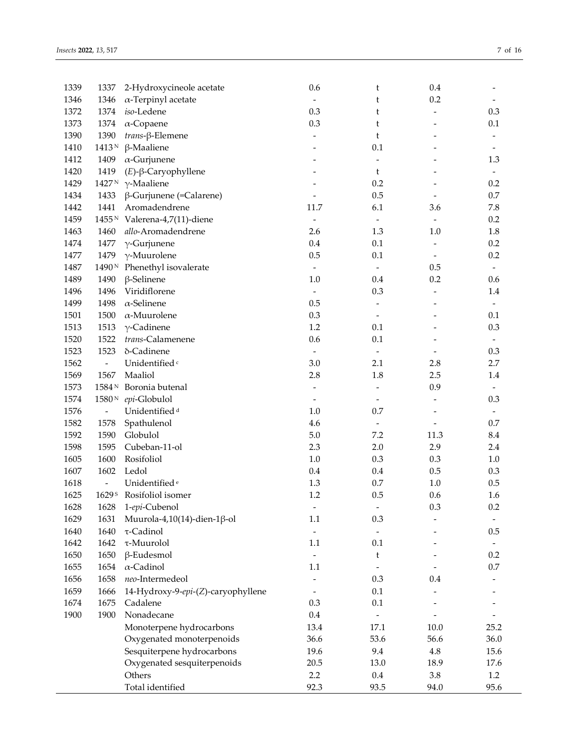| 1339 | 1337                     | 2-Hydroxycineole acetate                 | 0.6                      | t                            | 0.4                      |                          |
|------|--------------------------|------------------------------------------|--------------------------|------------------------------|--------------------------|--------------------------|
| 1346 | 1346                     | $\alpha$ -Terpinyl acetate               |                          | t                            | 0.2                      |                          |
| 1372 | 1374                     | iso-Ledene                               | 0.3                      | t                            | $\overline{\phantom{a}}$ | 0.3                      |
| 1373 | 1374                     | $\alpha$ -Copaene                        | 0.3                      | t                            |                          | 0.1                      |
| 1390 | 1390                     | $trans$ - $\beta$ -Elemene               |                          | t                            |                          |                          |
| 1410 | 1413N                    | $\beta$ -Maaliene                        |                          | $0.1\,$                      |                          |                          |
| 1412 | 1409                     | $\alpha$ -Gurjunene                      |                          | $\frac{1}{2}$                |                          | 1.3                      |
| 1420 | 1419                     | $(E)$ - $\beta$ -Caryophyllene           |                          | t                            |                          | $\overline{\phantom{a}}$ |
| 1429 |                          | 1427 <sup>N</sup> γ-Maaliene             |                          | 0.2                          |                          | 0.2                      |
| 1434 | 1433                     | $\beta$ -Gurjunene (=Calarene)           |                          | 0.5                          |                          | 0.7                      |
| 1442 | 1441                     | Aromadendrene                            | 11.7                     | 6.1                          | 3.6                      | 7.8                      |
| 1459 |                          | 1455 <sup>N</sup> Valerena-4,7(11)-diene | $\overline{\phantom{a}}$ | $\overline{\phantom{a}}$     |                          | 0.2                      |
| 1463 | 1460                     | allo-Aromadendrene                       | 2.6                      | 1.3                          | 1.0                      | 1.8                      |
| 1474 | 1477                     | $\gamma$ -Gurjunene                      | 0.4                      | $0.1\,$                      |                          | 0.2                      |
| 1477 | 1479                     | $\gamma$ -Muurolene                      | 0.5                      | $0.1\,$                      |                          | 0.2                      |
| 1487 | 1490 <sup>N</sup>        | Phenethyl isovalerate                    | $\blacksquare$           | $\bar{\phantom{a}}$          | 0.5                      | $\overline{\phantom{a}}$ |
| 1489 | 1490                     | $\beta$ -Selinene                        | $1.0\,$                  | 0.4                          | 0.2                      | 0.6                      |
| 1496 | 1496                     | Viridiflorene                            | $\overline{\phantom{a}}$ | 0.3                          | $\overline{\phantom{a}}$ | 1.4                      |
| 1499 | 1498                     | $\alpha$ -Selinene                       | 0.5                      | $\qquad \qquad -$            |                          | $\overline{\phantom{0}}$ |
| 1501 | 1500                     | $\alpha$ -Muurolene                      | 0.3                      | $\overline{\phantom{a}}$     |                          | 0.1                      |
| 1513 | 1513                     | $\gamma$ -Cadinene                       | $1.2\,$                  | $0.1\,$                      |                          | 0.3                      |
| 1520 | 1522                     | trans-Calamenene                         | 0.6                      | $0.1\,$                      |                          | $\overline{\phantom{a}}$ |
| 1523 | 1523                     | δ-Cadinene                               | $\overline{\phantom{a}}$ | $\qquad \qquad \blacksquare$ |                          | 0.3                      |
| 1562 | $\overline{\phantom{a}}$ | Unidentified <sup>c</sup>                | 3.0                      | 2.1                          | 2.8                      | 2.7                      |
| 1569 | 1567                     | Maaliol                                  | 2.8                      | 1.8                          | 2.5                      | 1.4                      |
| 1573 | 1584 <sup>N</sup>        | Boronia butenal                          | $\frac{1}{2}$            | $\frac{1}{2}$                | 0.9                      |                          |
| 1574 | $1580\,\rm{N}$           | epi-Globulol                             | $\overline{\phantom{m}}$ | $\overline{\phantom{m}}$     |                          | 0.3                      |
| 1576 | $\overline{\phantom{a}}$ | Unidentified <sup>d</sup>                | $1.0\,$                  | 0.7                          |                          |                          |
| 1582 | 1578                     | Spathulenol                              | 4.6                      | $\overline{\phantom{a}}$     |                          | 0.7                      |
| 1592 | 1590                     | Globulol                                 | $5.0\,$                  | 7.2                          | 11.3                     | 8.4                      |
| 1598 | 1595                     | Cubeban-11-ol                            | 2.3                      | 2.0                          | 2.9                      | 2.4                      |
| 1605 | 1600                     | Rosifoliol                               | $1.0\,$                  | 0.3                          | 0.3                      | $1.0\,$                  |
| 1607 | 1602                     | Ledol                                    | $0.4\,$                  | 0.4                          | 0.5                      | 0.3                      |
| 1618 | $\overline{\phantom{a}}$ | Unidentified <sup>e</sup>                | 1.3                      | $0.7\,$                      | $1.0\,$                  | 0.5                      |
| 1625 | 1629 <sup>s</sup>        | Rosifoliol isomer                        | 1.2                      | 0.5                          | 0.6                      | 1.6                      |
| 1628 | 1628                     | 1-epi-Cubenol                            | $\overline{\phantom{a}}$ | $\overline{\phantom{a}}$     | $0.3\,$                  | 0.2                      |
| 1629 | 1631                     | Muurola-4,10(14)-dien-1β-ol              | 1.1                      | 0.3                          |                          |                          |
| 1640 | 1640                     | τ-Cadinol                                |                          | $\overline{\phantom{a}}$     |                          | 0.5                      |
| 1642 | 1642                     | τ-Muurolol                               | 1.1                      | 0.1                          |                          |                          |
| 1650 | 1650                     | $\beta$ -Eudesmol                        |                          |                              |                          | 0.2                      |
| 1655 | 1654                     | $\alpha$ -Cadinol                        | 1.1                      | t                            |                          | $0.7\,$                  |
|      |                          | neo-Intermedeol                          |                          |                              |                          |                          |
| 1656 | 1658                     |                                          |                          | 0.3                          | 0.4                      |                          |
| 1659 | 1666                     | 14-Hydroxy-9-epi-(Z)-caryophyllene       |                          | $0.1\,$                      |                          |                          |
| 1674 | 1675                     | Cadalene                                 | 0.3                      | $0.1\,$                      |                          |                          |
| 1900 | 1900                     | Nonadecane                               | 0.4                      | $\frac{1}{2}$                |                          |                          |
|      |                          | Monoterpene hydrocarbons                 | 13.4                     | 17.1                         | 10.0                     | 25.2                     |
|      |                          | Oxygenated monoterpenoids                | 36.6                     | 53.6                         | 56.6                     | 36.0                     |
|      |                          | Sesquiterpene hydrocarbons               | 19.6                     | 9.4                          | 4.8                      | 15.6                     |
|      |                          | Oxygenated sesquiterpenoids              | 20.5                     | 13.0                         | 18.9                     | 17.6                     |
|      |                          | Others                                   | 2.2                      | 0.4                          | 3.8                      | 1.2                      |
|      |                          | Total identified                         | 92.3                     | 93.5                         | 94.0                     | 95.6                     |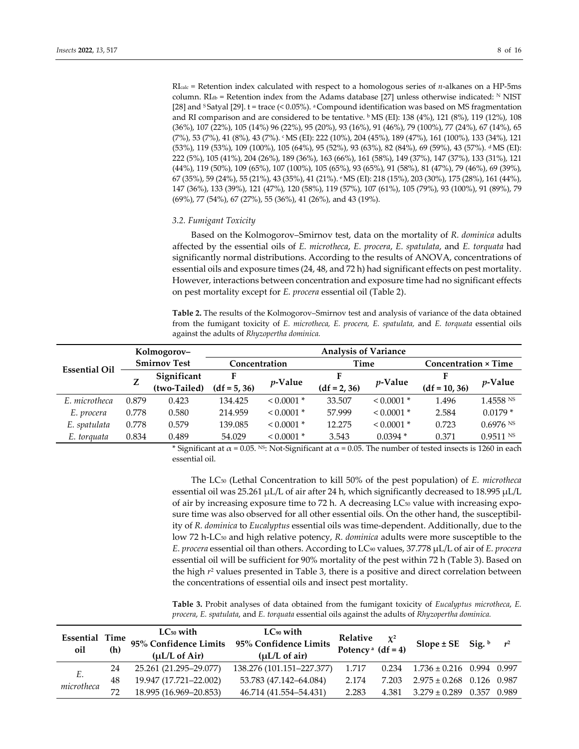RIcalc = Retention index calculated with respect to a homologous series of *n*-alkanes on a HP-5ms column. RI $_{\text{db}}$  = Retention index from the Adams database [27] unless otherwise indicated: N NIST [28] and S Satyal [29]. t = trace (< 0.05%). a Compound identification was based on MS fragmentation and RI comparison and are considered to be tentative.  $b$  MS (EI): 138 (4%), 121 (8%), 119 (12%), 108 (36%), 107 (22%), 105 (14%) 96 (22%), 95 (20%), 93 (16%), 91 (46%), 79 (100%), 77 (24%), 67 (14%), 65 (7%), 53 (7%), 41 (8%), 43 (7%). cMS (EI): 222 (10%), 204 (45%), 189 (47%), 161 (100%), 133 (34%), 121 (53%), 119 (53%), 109 (100%), 105 (64%), 95 (52%), 93 (63%), 82 (84%), 69 (59%), 43 (57%). dMS (EI): 222 (5%), 105 (41%), 204 (26%), 189 (36%), 163 (66%), 161 (58%), 149 (37%), 147 (37%), 133 (31%), 121 (44%), 119 (50%), 109 (65%), 107 (100%), 105 (65%), 93 (65%), 91 (58%), 81 (47%), 79 (46%), 69 (39%), 67 (35%), 59 (24%), 55 (21%), 43 (35%), 41 (21%). eMS (EI): 218 (15%), 203 (30%), 175 (28%), 161 (44%), 147 (36%), 133 (39%), 121 (47%), 120 (58%), 119 (57%), 107 (61%), 105 (79%), 93 (100%), 91 (89%), 79 (69%), 77 (54%), 67 (27%), 55 (36%), 41 (26%), and 43 (19%).

#### *3.2. Fumigant Toxicity*

Based on the Kolmogorov–Smirnov test, data on the mortality of *R. dominica* adults affected by the essential oils of *E. microtheca*, *E. procera*, *E. spatulata*, and *E. torquata* had significantly normal distributions. According to the results of ANOVA, concentrations of essential oils and exposure times (24, 48, and 72 h) had significant effects on pest mortality. However, interactions between concentration and exposure time had no significant effects on pest mortality except for *E. procera* essential oil (Table 2).

**Table 2.** The results of the Kolmogorov–Smirnov test and analysis of variance of the data obtained from the fumigant toxicity of *E. microtheca, E. procera, E. spatulata,* and *E. torquata* essential oils against the adults of *Rhyzopertha dominica.*

|                      |       | Kolmogorov-         |                |                 | <b>Analysis of Variance</b> |            |                 |                             |  |
|----------------------|-------|---------------------|----------------|-----------------|-----------------------------|------------|-----------------|-----------------------------|--|
| <b>Essential Oil</b> |       | <b>Smirnov Test</b> | Concentration  |                 |                             | Time       |                 | <b>Concentration × Time</b> |  |
|                      | Z     | Significant         | F              |                 |                             | $p$ -Value |                 | $p$ -Value                  |  |
|                      |       | (two-Tailed)        | $(df = 5, 36)$ | <i>v</i> -Value | $(df = 2, 36)$              |            | $(df = 10, 36)$ |                             |  |
| E. microtheca        | 0.879 | 0.423               | 134.425        | $0.0001*$       | 33.507                      | $0.0001*$  | 1.496           | 1.4558 NS                   |  |
| E. procera           | 0.778 | 0.580               | 214.959        | $0.0001*$       | 57.999                      | $0.0001*$  | 2.584           | $0.0179*$                   |  |
| E. spatulata         | 0.778 | 0.579               | 139.085        | $0.0001*$       | 12.275                      | $0.0001*$  | 0.723           | $0.6976$ <sup>NS</sup>      |  |
| E. torguata          | 0.834 | 0.489               | 54.029         | $0.0001*$       | 3.543                       | $0.0394*$  | 0.371           | $0.9511$ NS                 |  |

\* Significant at  $\alpha$  = 0.05. <sup>NS</sup>: Not-Significant at  $\alpha$  = 0.05. The number of tested insects is 1260 in each essential oil.

The LC50 (Lethal Concentration to kill 50% of the pest population) of *E. microtheca* essential oil was 25.261 μL/L of air after 24 h, which significantly decreased to 18.995 μL/L of air by increasing exposure time to 72 h. A decreasing  $LC_{50}$  value with increasing exposure time was also observed for all other essential oils. On the other hand, the susceptibility of *R. dominica* to *Eucalyptus* essential oils was time-dependent. Additionally, due to the low 72 h-LC<sub>50</sub> and high relative potency, *R. dominica* adults were more susceptible to the *E. procera* essential oil than others. According to LC90 values, 37.778 μL/L of air of *E. procera*  essential oil will be sufficient for 90% mortality of the pest within 72 h (Table 3). Based on the high *r*<sup>2</sup> values presented in Table 3, there is a positive and direct correlation between the concentrations of essential oils and insect pest mortality.

**Table 3.** Probit analyses of data obtained from the fumigant toxicity of *Eucalyptus microtheca*, *E. procera*, *E. spatulata*, and *E. torquata* essential oils against the adults of *Rhyzopertha dominica.*

| <b>Essential Time</b><br>oil | (h) | $LC_{50}$ with<br>$(\mu L/L \text{ of Air})$ | $LC_{90}$ with<br>95% Confidence Limits 95% Confidence Limits<br>$(\mu L/L \text{ of air})$ | Relative<br>Potency <sup>a</sup> $(df = 4)$ | $\chi^2$ | Slope ± SE Sig. $\frac{b}{r^2}$ |       |
|------------------------------|-----|----------------------------------------------|---------------------------------------------------------------------------------------------|---------------------------------------------|----------|---------------------------------|-------|
| Ε.                           | 24  | 25.261 (21.295–29.077)                       | 138.276 (101.151-227.377)                                                                   | 1.717                                       | 0.234    | $1.736 \pm 0.216$ 0.994 0.997   |       |
| microtheca                   | 48  | 19.947 (17.721-22.002)                       | 53.783 (47.142–64.084)                                                                      | 2.174                                       | 7.203    | $2.975 \pm 0.268$ 0.126 0.987   |       |
|                              | 72  | 18.995 (16.969-20.853)                       | 46.714 (41.554–54.431)                                                                      | 2.283                                       | 4.381    | $3.279 \pm 0.289$ 0.357         | 0.989 |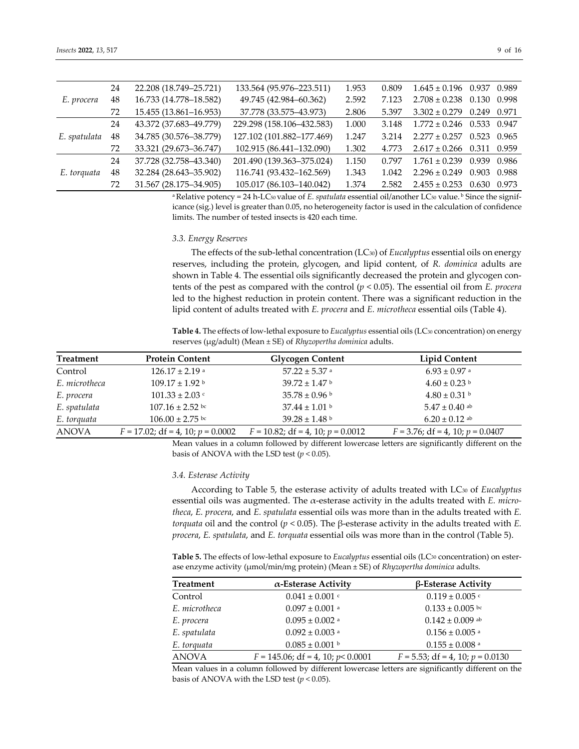|  |  | -9 |
|--|--|----|
|  |  |    |

| E. procera   | 24 | 22.208 (18.749-25.721) | 133.564 (95.976-223.511)  | 1.953 | 0.809 | $1.645 \pm 0.196$ 0.937 0.989 |       |       |
|--------------|----|------------------------|---------------------------|-------|-------|-------------------------------|-------|-------|
|              | 48 | 16.733 (14.778-18.582) | 49.745 (42.984-60.362)    | 2.592 | 7.123 | $2.708 \pm 0.238$ 0.130       |       | 0.998 |
|              | 72 | 15.455 (13.861-16.953) | 37.778 (33.575-43.973)    | 2.806 | 5.397 | $3.302 \pm 0.279$ 0.249 0.971 |       |       |
|              | 24 | 43.372 (37.683-49.779) | 229.298 (158.106-432.583) | 1.000 | 3.148 | $1.772 \pm 0.246$ 0.533 0.947 |       |       |
| E. spatulata | 48 | 34.785 (30.576-38.779) | 127.102 (101.882-177.469) | 1.247 | 3.214 | $2.277 \pm 0.257$ 0.523       |       | 0.965 |
|              | 72 | 33.321 (29.673-36.747) | 102.915 (86.441-132.090)  | 1.302 | 4.773 | $2.617 \pm 0.266$ 0.311 0.959 |       |       |
|              | 24 | 37.728 (32.758-43.340) | 201.490 (139.363-375.024) | 1.150 | 0.797 | $1.761 \pm 0.239$ 0.939 0.986 |       |       |
| E. torquata  | 48 | 32.284 (28.643-35.902) | 116.741 (93.432-162.569)  | 1.343 | 1.042 | $2.296 \pm 0.249$             | 0.903 | 0.988 |
|              | 72 | 31.567 (28.175-34.905) | 105.017 (86.103-140.042)  | 1.374 | 2.582 | $2.455 \pm 0.253$             | 0.630 | 0.973 |

<sup>a</sup> Relative potency = 24 h-LC<sub>50</sub> value of *E. spatulata* essential oil/another LC<sub>50</sub> value. <sup>b</sup> Since the significance (sig.) level is greater than 0.05, no heterogeneity factor is used in the calculation of confidence limits. The number of tested insects is 420 each time.

# *3.3. Energy Reserves*

The effects of the sub-lethal concentration (LC30) of *Eucalyptus* essential oils on energy reserves, including the protein, glycogen, and lipid content, of *R. dominica* adults are shown in Table 4. The essential oils significantly decreased the protein and glycogen contents of the pest as compared with the control (*p* < 0.05). The essential oil from *E. procera* led to the highest reduction in protein content. There was a significant reduction in the lipid content of adults treated with *E. procera* and *E. microtheca* essential oils (Table 4).

**Table 4.** The effects of low-lethal exposure to *Eucalyptus* essential oils (LC30 concentration) on energy reserves (μg/adult) (Mean ± SE) of *Rhyzopertha dominica* adults.

| <b>Treatment</b> | <b>Protein Content</b>                 | <b>Glycogen Content</b>                | Lipid Content                         |
|------------------|----------------------------------------|----------------------------------------|---------------------------------------|
| Control          | $126.17 \pm 2.19$ a                    | $57.22 \pm 5.37$ a                     | $6.93 \pm 0.97$ a                     |
| E. microtheca    | $109.17 \pm 1.92$ b                    | $39.72 \pm 1.47$ b                     | $4.60 \pm 0.23$                       |
| E. procera       | $101.33 \pm 2.03$                      | $35.78 \pm 0.96$ b                     | $4.80 \pm 0.31$ b                     |
| E. spatulata     | $107.16 \pm 2.52$ bc                   | $37.44 \pm 1.01$ b                     | $5.47 \pm 0.40$ ab                    |
| E. torquata      | $106.00 \pm 2.75$ bc                   | $39.28 \pm 1.48$ b                     | $6.20 \pm 0.12$ ab                    |
| ANOVA            | $F = 17.02$ ; df = 4, 10; $p = 0.0002$ | $F = 10.82$ ; df = 4, 10; $p = 0.0012$ | $F = 3.76$ ; df = 4, 10; $p = 0.0407$ |

Mean values in a column followed by different lowercase letters are significantly different on the basis of ANOVA with the LSD test  $(p < 0.05)$ .

#### *3.4. Esterase Activity*

According to Table 5, the esterase activity of adults treated with LC30 of *Eucalyptus* essential oils was augmented. The α-esterase activity in the adults treated with *E. microtheca*, *E. procera*, and *E. spatulata* essential oils was more than in the adults treated with *E. torquata* oil and the control (*p* < 0.05). The β-esterase activity in the adults treated with *E. procera*, *E. spatulata*, and *E. torquata* essential oils was more than in the control (Table 5).

**Table 5.** The effects of low-lethal exposure to *Eucalyptus* essential oils (LC30 concentration) on esterase enzyme activity (μmol/min/mg protein) (Mean ± SE) of *Rhyzopertha dominica* adults.

| <b>Treatment</b> | $\alpha$ -Esterase Activity             | β-Esterase Activity                   |
|------------------|-----------------------------------------|---------------------------------------|
| Control          | $0.041 \pm 0.001$ c                     | $0.119 \pm 0.005$                     |
| E. microtheca    | $0.097 \pm 0.001$ a                     | $0.133 \pm 0.005$ bc                  |
| E. procera       | $0.095 \pm 0.002$ a                     | $0.142 \pm 0.009$ ab                  |
| E. spatulata     | $0.092 \pm 0.003$ a                     | $0.156 \pm 0.005$ <sup>a</sup>        |
| E. torquata      | $0.085 \pm 0.001$ b                     | $0.155 \pm 0.008$ a                   |
| <b>ANOVA</b>     | $F = 145.06$ ; df = 4, 10; $p < 0.0001$ | $F = 5.53$ ; df = 4, 10; $p = 0.0130$ |

Mean values in a column followed by different lowercase letters are significantly different on the basis of ANOVA with the LSD test ( $p < 0.05$ ).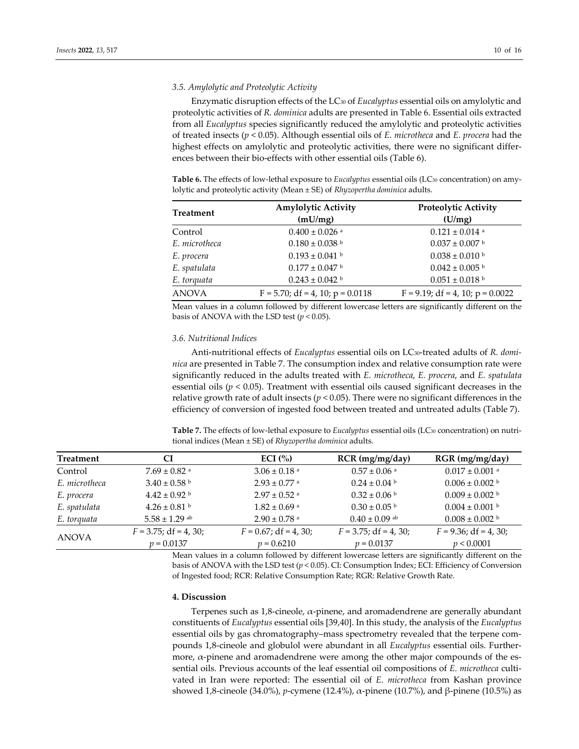# *3.5. Amylolytic and Proteolytic Activity*

Enzymatic disruption effects of the LC30 of *Eucalyptus* essential oils on amylolytic and proteolytic activities of *R. dominica* adults are presented in Table 6. Essential oils extracted from all *Eucalyptus* species significantly reduced the amylolytic and proteolytic activities of treated insects (*p* < 0.05). Although essential oils of *E. microtheca* and *E. procera* had the highest effects on amylolytic and proteolytic activities, there were no significant differences between their bio-effects with other essential oils (Table 6).

**Table 6.** The effects of low-lethal exposure to *Eucalyptus* essential oils (LC30 concentration) on amylolytic and proteolytic activity (Mean ± SE) of *Rhyzopertha dominica* adults.

| <b>Treatment</b> | <b>Amylolytic Activity</b>          | <b>Proteolytic Activity</b>         |
|------------------|-------------------------------------|-------------------------------------|
|                  | (mU/mg)                             | (U/mg)                              |
| Control          | $0.400 \pm 0.026$ <sup>a</sup>      | $0.121 \pm 0.014$ <sup>a</sup>      |
| E. microtheca    | $0.180 \pm 0.038$ b                 | $0.037 \pm 0.007$ b                 |
| E. procera       | $0.193 \pm 0.041$ b                 | $0.038 \pm 0.010$ b                 |
| E. spatulata     | $0.177 \pm 0.047$ b                 | $0.042 \pm 0.005$ b                 |
| E. torquata      | $0.243 \pm 0.042$ b                 | $0.051 \pm 0.018$ b                 |
| <b>ANOVA</b>     | $F = 5.70$ ; df = 4, 10; p = 0.0118 | $F = 9.19$ ; df = 4, 10; p = 0.0022 |

Mean values in a column followed by different lowercase letters are significantly different on the basis of ANOVA with the LSD test  $(p < 0.05)$ .

#### *3.6. Nutritional Indices*

Anti-nutritional effects of *Eucalyptus* essential oils on LC30-treated adults of *R. dominica* are presented in Table 7. The consumption index and relative consumption rate were significantly reduced in the adults treated with *E. microtheca*, *E. procera*, and *E. spatulata* essential oils ( $p < 0.05$ ). Treatment with essential oils caused significant decreases in the relative growth rate of adult insects ( $p < 0.05$ ). There were no significant differences in the efficiency of conversion of ingested food between treated and untreated adults (Table 7).

**Table 7.** The effects of low-lethal exposure to *Eucalyptus* essential oils (LC30 concentration) on nutritional indices (Mean ± SE) of *Rhyzopertha dominica* adults.

| <b>Treatment</b> | CI                       | ECI $(%$                     | $RCR$ (mg/mg/day)            | $RGR$ (mg/mg/day)        |
|------------------|--------------------------|------------------------------|------------------------------|--------------------------|
| Control          | $7.69 \pm 0.82$ a        | $3.06 \pm 0.18$ <sup>a</sup> | $0.57 \pm 0.06$ <sup>a</sup> | $0.017 \pm 0.001$ a      |
| E. microtheca    | $3.40 \pm 0.58$ b        | $2.93 \pm 0.77$ a            | $0.24 \pm 0.04$ b            | $0.006 \pm 0.002$ b      |
| E. procera       | $4.42 \pm 0.92$ b        | $2.97 \pm 0.52$ <sup>a</sup> | $0.32 \pm 0.06$ b            | $0.009 \pm 0.002$ b      |
| E. spatulata     | $4.26 \pm 0.81$ b        | $1.82 \pm 0.69$ <sup>a</sup> | $0.30 \pm 0.05$ b            | $0.004 \pm 0.001$ b      |
| E. torquata      | $5.58 \pm 1.29$ ab       | $2.90 \pm 0.78$ <sup>a</sup> | $0.40 \pm 0.09$ ab           | $0.008 \pm 0.002$ b      |
|                  | $F = 3.75$ ; df = 4, 30; | $F = 0.67$ ; df = 4, 30;     | $F = 3.75$ ; df = 4, 30;     | $F = 9.36$ ; df = 4, 30; |
| <b>ANOVA</b>     | $p = 0.0137$             | $p = 0.6210$                 | $p = 0.0137$                 | p < 0.0001               |

Mean values in a column followed by different lowercase letters are significantly different on the basis of ANOVA with the LSD test (*p* < 0.05). CI: Consumption Index; ECI: Efficiency of Conversion of Ingested food; RCR: Relative Consumption Rate; RGR: Relative Growth Rate.

# **4. Discussion**

Terpenes such as 1,8-cineole,  $\alpha$ -pinene, and aromadendrene are generally abundant constituents of *Eucalyptus* essential oils [39,40]. In this study, the analysis of the *Eucalyptus* essential oils by gas chromatography–mass spectrometry revealed that the terpene compounds 1,8-cineole and globulol were abundant in all *Eucalyptus* essential oils. Furthermore,  $\alpha$ -pinene and aromadendrene were among the other major compounds of the essential oils. Previous accounts of the leaf essential oil compositions of *E. microtheca* cultivated in Iran were reported: The essential oil of *E. microtheca* from Kashan province showed 1,8-cineole (34.0%), *p*-cymene (12.4%), α-pinene (10.7%), and β-pinene (10.5%) as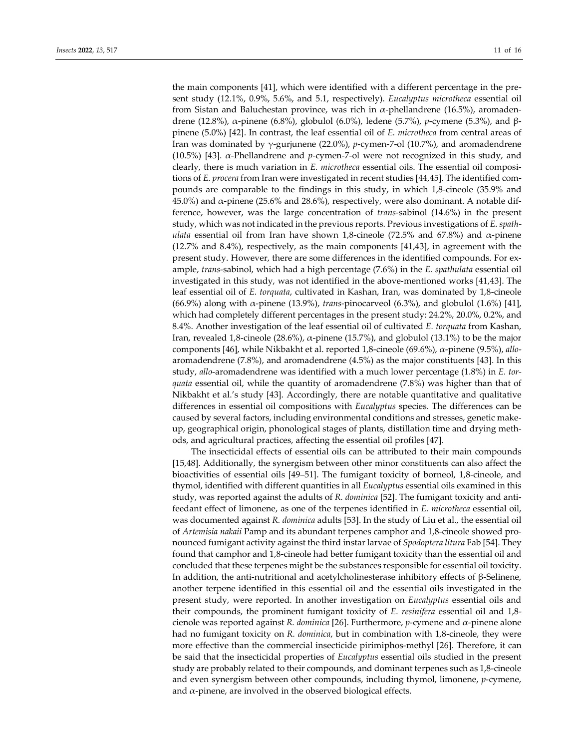the main components [41], which were identified with a different percentage in the present study (12.1%, 0.9%, 5.6%, and 5.1, respectively). *Eucalyptus microtheca* essential oil from Sistan and Baluchestan province, was rich in α-phellandrene (16.5%), aromadendrene (12.8%), α-pinene (6.8%), globulol (6.0%), ledene (5.7%), *p*-cymene (5.3%), and βpinene (5.0%) [42]. In contrast, the leaf essential oil of *E. microtheca* from central areas of Iran was dominated by γ-gurjunene (22.0%), *p*-cymen-7-ol (10.7%), and aromadendrene (10.5%) [43]. α-Phellandrene and *p*-cymen-7-ol were not recognized in this study, and clearly, there is much variation in *E. microtheca* essential oils. The essential oil compositions of *E. procera* from Iran were investigated in recent studies [44,45]. The identified compounds are comparable to the findings in this study, in which 1,8-cineole (35.9% and 45.0%) and  $\alpha$ -pinene (25.6% and 28.6%), respectively, were also dominant. A notable difference, however, was the large concentration of *trans*-sabinol (14.6%) in the present study, which was not indicated in the previous reports. Previous investigations of *E. spathulata* essential oil from Iran have shown 1,8-cineole (72.5% and 67.8%) and  $\alpha$ -pinene (12.7% and 8.4%), respectively, as the main components [41,43], in agreement with the present study. However, there are some differences in the identified compounds. For example, *trans*-sabinol, which had a high percentage (7.6%) in the *E. spathulata* essential oil investigated in this study, was not identified in the above-mentioned works [41,43]. The leaf essential oil of *E. torquata*, cultivated in Kashan, Iran, was dominated by 1,8-cineole (66.9%) along with α-pinene (13.9%), *trans*-pinocarveol (6.3%), and globulol (1.6%) [41], which had completely different percentages in the present study: 24.2%, 20.0%, 0.2%, and 8.4%. Another investigation of the leaf essential oil of cultivated *E. torquata* from Kashan, Iran, revealed 1,8-cineole (28.6%), α-pinene (15.7%), and globulol (13.1%) to be the major components [46], while Nikbakht et al. reported 1,8-cineole (69.6%), α-pinene (9.5%), *allo*aromadendrene (7.8%), and aromadendrene (4.5%) as the major constituents [43]. In this study, *allo*-aromadendrene was identified with a much lower percentage (1.8%) in *E. torquata* essential oil, while the quantity of aromadendrene (7.8%) was higher than that of Nikbakht et al.'s study [43]. Accordingly, there are notable quantitative and qualitative differences in essential oil compositions with *Eucalyptus* species. The differences can be caused by several factors, including environmental conditions and stresses, genetic makeup, geographical origin, phonological stages of plants, distillation time and drying methods, and agricultural practices, affecting the essential oil profiles [47].

The insecticidal effects of essential oils can be attributed to their main compounds [15,48]. Additionally, the synergism between other minor constituents can also affect the bioactivities of essential oils [49–51]. The fumigant toxicity of borneol, 1,8-cineole, and thymol, identified with different quantities in all *Eucalyptus* essential oils examined in this study, was reported against the adults of *R. dominica* [52]. The fumigant toxicity and antifeedant effect of limonene, as one of the terpenes identified in *E. microtheca* essential oil, was documented against *R. dominica* adults [53]. In the study of Liu et al., the essential oil of *Artemisia nakaii* Pamp and its abundant terpenes camphor and 1,8-cineole showed pronounced fumigant activity against the third instar larvae of *Spodoptera litura* Fab [54]. They found that camphor and 1,8-cineole had better fumigant toxicity than the essential oil and concluded that these terpenes might be the substances responsible for essential oil toxicity. In addition, the anti-nutritional and acetylcholinesterase inhibitory effects of β-Selinene, another terpene identified in this essential oil and the essential oils investigated in the present study, were reported. In another investigation on *Eucalyptus* essential oils and their compounds, the prominent fumigant toxicity of *E. resinifera* essential oil and 1,8 cienole was reported against *R. dominica* [26]. Furthermore, *p*-cymene and α-pinene alone had no fumigant toxicity on *R. dominica*, but in combination with 1,8-cineole, they were more effective than the commercial insecticide pirimiphos-methyl [26]. Therefore, it can be said that the insecticidal properties of *Eucalyptus* essential oils studied in the present study are probably related to their compounds, and dominant terpenes such as 1,8-cineole and even synergism between other compounds, including thymol, limonene, *p*-cymene, and  $\alpha$ -pinene, are involved in the observed biological effects.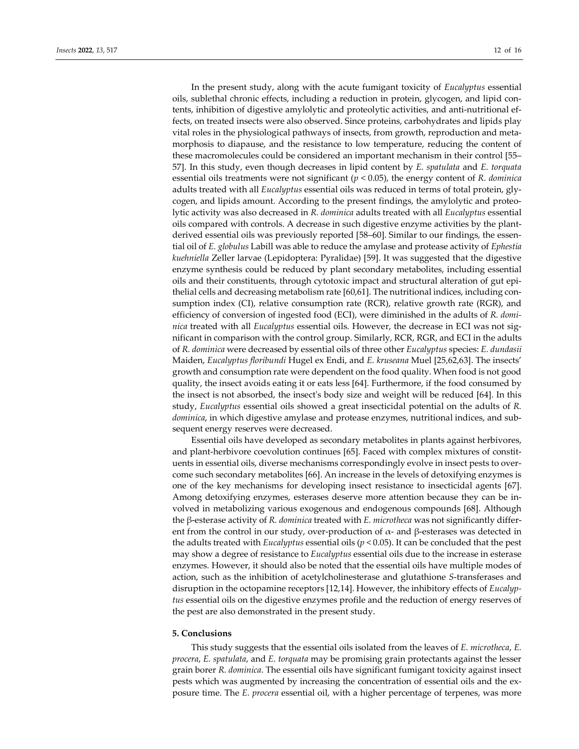In the present study, along with the acute fumigant toxicity of *Eucalyptus* essential oils, sublethal chronic effects, including a reduction in protein, glycogen, and lipid contents, inhibition of digestive amylolytic and proteolytic activities, and anti-nutritional effects, on treated insects were also observed. Since proteins, carbohydrates and lipids play vital roles in the physiological pathways of insects, from growth, reproduction and metamorphosis to diapause, and the resistance to low temperature, reducing the content of these macromolecules could be considered an important mechanism in their control [55– 57]. In this study, even though decreases in lipid content by *E. spatulata* and *E. torquata* essential oils treatments were not significant (*p* < 0.05), the energy content of *R. dominica* adults treated with all *Eucalyptus* essential oils was reduced in terms of total protein, glycogen, and lipids amount. According to the present findings, the amylolytic and proteolytic activity was also decreased in *R. dominica* adults treated with all *Eucalyptus* essential oils compared with controls. A decrease in such digestive enzyme activities by the plantderived essential oils was previously reported [58–60]. Similar to our findings, the essential oil of *E. globulus* Labill was able to reduce the amylase and protease activity of *Ephestia kuehniella* Zeller larvae (Lepidoptera: Pyralidae) [59]. It was suggested that the digestive enzyme synthesis could be reduced by plant secondary metabolites, including essential oils and their constituents, through cytotoxic impact and structural alteration of gut epithelial cells and decreasing metabolism rate [60,61]. The nutritional indices, including consumption index (CI), relative consumption rate (RCR), relative growth rate (RGR), and efficiency of conversion of ingested food (ECI), were diminished in the adults of *R. dominica* treated with all *Eucalyptus* essential oils. However, the decrease in ECI was not significant in comparison with the control group. Similarly, RCR, RGR, and ECI in the adults of *R. dominica* were decreased by essential oils of three other *Eucalyptus* species: *E. dundasii* Maiden, *Eucalyptus floribundi* Hugel ex Endi, and *E. kruseana* Muel [25,62,63]. The insects' growth and consumption rate were dependent on the food quality. When food is not good quality, the insect avoids eating it or eats less [64]. Furthermore, if the food consumed by the insect is not absorbed, the insect's body size and weight will be reduced [64]. In this study, *Eucalyptus* essential oils showed a great insecticidal potential on the adults of *R. dominica*, in which digestive amylase and protease enzymes, nutritional indices, and subsequent energy reserves were decreased.

Essential oils have developed as secondary metabolites in plants against herbivores, and plant-herbivore coevolution continues [65]. Faced with complex mixtures of constituents in essential oils, diverse mechanisms correspondingly evolve in insect pests to overcome such secondary metabolites [66]. An increase in the levels of detoxifying enzymes is one of the key mechanisms for developing insect resistance to insecticidal agents [67]. Among detoxifying enzymes, esterases deserve more attention because they can be involved in metabolizing various exogenous and endogenous compounds [68]. Although the β-esterase activity of *R. dominica* treated with *E. microtheca* was not significantly different from the control in our study, over-production of  $\alpha$ - and  $\beta$ -esterases was detected in the adults treated with *Eucalyptus* essential oils ( $p < 0.05$ ). It can be concluded that the pest may show a degree of resistance to *Eucalyptus* essential oils due to the increase in esterase enzymes. However, it should also be noted that the essential oils have multiple modes of action, such as the inhibition of acetylcholinesterase and glutathione *S*-transferases and disruption in the octopamine receptors [12,14]. However, the inhibitory effects of *Eucalyptus* essential oils on the digestive enzymes profile and the reduction of energy reserves of the pest are also demonstrated in the present study.

#### **5. Conclusions**

This study suggests that the essential oils isolated from the leaves of *E. microtheca*, *E. procera*, *E. spatulata*, and *E. torquata* may be promising grain protectants against the lesser grain borer *R. dominica*. The essential oils have significant fumigant toxicity against insect pests which was augmented by increasing the concentration of essential oils and the exposure time. The *E. procera* essential oil, with a higher percentage of terpenes, was more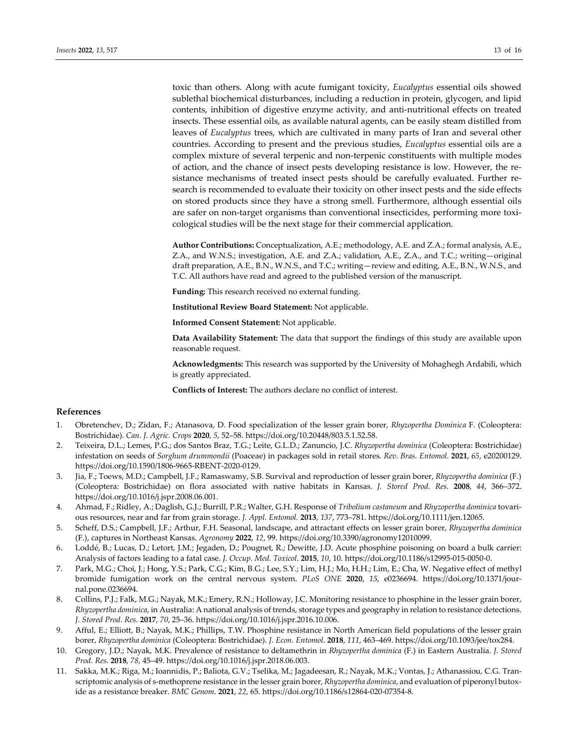toxic than others. Along with acute fumigant toxicity, *Eucalyptus* essential oils showed sublethal biochemical disturbances, including a reduction in protein, glycogen, and lipid contents, inhibition of digestive enzyme activity, and anti-nutritional effects on treated insects. These essential oils, as available natural agents, can be easily steam distilled from leaves of *Eucalyptus* trees, which are cultivated in many parts of Iran and several other countries. According to present and the previous studies, *Eucalyptus* essential oils are a complex mixture of several terpenic and non-terpenic constituents with multiple modes of action, and the chance of insect pests developing resistance is low. However, the resistance mechanisms of treated insect pests should be carefully evaluated. Further research is recommended to evaluate their toxicity on other insect pests and the side effects on stored products since they have a strong smell. Furthermore, although essential oils are safer on non-target organisms than conventional insecticides, performing more toxicological studies will be the next stage for their commercial application.

**Author Contributions:** Conceptualization, A.E.; methodology, A.E. and Z.A.; formal analysis, A.E., Z.A., and W.N.S.; investigation, A.E. and Z.A.; validation, A.E., Z.A., and T.C.; writing—original draft preparation, A.E., B.N., W.N.S., and T.C.; writing—review and editing, A.E., B.N., W.N.S., and T.C. All authors have read and agreed to the published version of the manuscript.

**Funding:** This research received no external funding.

**Institutional Review Board Statement:** Not applicable.

**Informed Consent Statement:** Not applicable.

**Data Availability Statement:** The data that support the findings of this study are available upon reasonable request.

**Acknowledgments:** This research was supported by the University of Mohaghegh Ardabili, which is greatly appreciated.

**Conflicts of Interest:** The authors declare no conflict of interest.

# **References**

- 1. Obretenchev, D.; Zidan, F.; Atanasova, D. Food specialization of the lesser grain borer, *Rhyzopertha Dominica* F. (Coleoptera: Bostrichidae). *Can. J. Agric. Crops* **2020**, *5*, 52–58. https://doi.org/10.20448/803.5.1.52.58.
- 2. Teixeira, D.L.; Lemes, P.G.; dos Santos Braz, T.G.; Leite, G.L.D.; Zanuncio, J.C. *Rhyzopertha dominica* (Coleoptera: Bostrichidae) infestation on seeds of *Sorghum drummondii* (Poaceae) in packages sold in retail stores. *Rev. Bras. Entomol*. **2021**, *65*, e20200129. https://doi.org/10.1590/1806-9665-RBENT-2020-0129.
- 3. Jia, F.; Toews, M.D.; Campbell, J.F.; Ramaswamy, S.B. Survival and reproduction of lesser grain borer, *Rhyzopertha dominica* (F.) (Coleoptera: Bostrichidae) on flora associated with native habitats in Kansas. *J. Stored Prod. Res*. **2008**, *44*, 366–372. https://doi.org/10.1016/j.jspr.2008.06.001.
- 4. Ahmad, F.; Ridley, A.; Daglish, G.J.; Burrill, P.R.; Walter, G.H. Response of *Tribolium castaneum* and *Rhyzopertha dominica* tovarious resources, near and far from grain storage. *J. Appl. Entomol.* **2013**, *137*, 773–781. https://doi.org/10.1111/jen.12065.
- 5. Scheff, D.S.; Campbell, J.F.; Arthur, F.H. Seasonal, landscape, and attractant effects on lesser grain borer, *Rhyzopertha dominica* (F.), captures in Northeast Kansas. *Agronomy* **2022**, *12*, 99. https://doi.org/10.3390/agronomy12010099.
- 6. Loddé, B.; Lucas, D.; Letort, J.M.; Jegaden, D.; Pougnet, R.; Dewitte, J.D. Acute phosphine poisoning on board a bulk carrier: Analysis of factors leading to a fatal case. *J. Occup. Med. Toxicol*. **2015**, *10*, 10. https://doi.org/10.1186/s12995-015-0050-0.
- 7. Park, M.G.; Choi, J.; Hong, Y.S.; Park, C.G.; Kim, B.G.; Lee, S.Y.; Lim, H.J.; Mo, H.H.; Lim, E.; Cha, W. Negative effect of methyl bromide fumigation work on the central nervous system. *PLoS ONE* **2020**, *15*, e0236694. https://doi.org/10.1371/journal.pone.0236694.
- 8. Collins, P.J.; Falk, M.G.; Nayak, M.K.; Emery, R.N.; Holloway, J.C. Monitoring resistance to phosphine in the lesser grain borer, *Rhyzopertha dominica*, in Australia: A national analysis of trends, storage types and geography in relation to resistance detections. *J. Stored Prod. Res*. **2017**, *70*, 25–36. https://doi.org/10.1016/j.jspr.2016.10.006.
- 9. Afful, E.; Elliott, B.; Nayak, M.K.; Phillips, T.W. Phosphine resistance in North American field populations of the lesser grain borer, *Rhyzopertha dominica* (Coleoptera: Bostrichidae). *J. Econ. Entomol*. **2018**, *111*, 463–469. https://doi.org/10.1093/jee/tox284.
- 10. Gregory, J.D.; Nayak, M.K. Prevalence of resistance to deltamethrin in *Rhyzopertha dominica* (F.) in Eastern Australia. *J. Stored Prod. Res*. **2018**, *78*, 45–49. https://doi.org/10.1016/j.jspr.2018.06.003.
- 11. Sakka, M.K.; Riga, M.; Ioannidis, P.; Baliota, G.V.; Tselika, M.; Jagadeesan, R.; Nayak, M.K.; Vontas, J.; Athanassiou, C.G. Transcriptomic analysis of s-methoprene resistance in the lesser grain borer, *Rhyzopertha dominica*, and evaluation of piperonyl butoxide as a resistance breaker. *BMC Genom*. **2021**, *22*, 65. https://doi.org/10.1186/s12864-020-07354-8.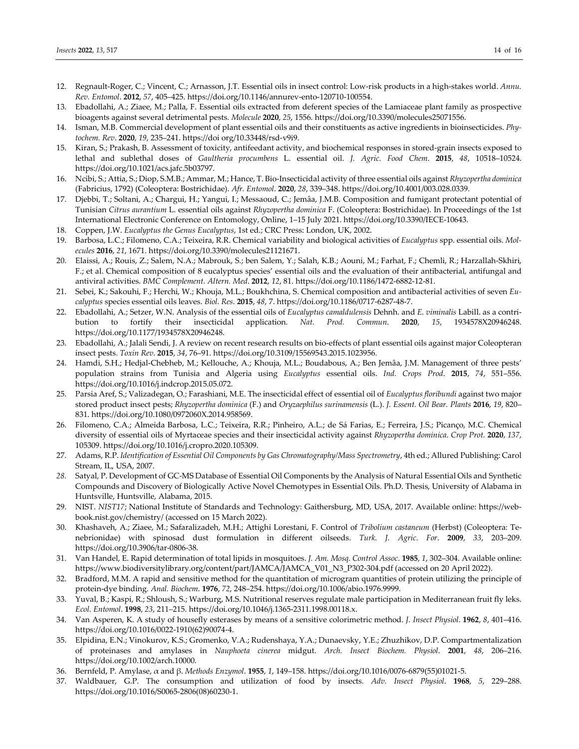- 12. Regnault-Roger, C.; Vincent, C.; Arnasson, J.T. Essential oils in insect control: Low-risk products in a high-stakes world. *Annu. Rev. Entomol*. **2012**, *57*, 405–425. https://doi.org/10.1146/annurev-ento-120710-100554.
- 13. Ebadollahi, A.; Ziaee, M.; Palla, F. Essential oils extracted from deferent species of the Lamiaceae plant family as prospective bioagents against several detrimental pests. *Molecule* **2020**, *25*, 1556. https://doi.org/10.3390/molecules25071556.
- 14. Isman, M.B. Commercial development of plant essential oils and their constituents as active ingredients in bioinsecticides. *Phytochem. Rev*. **2020**, *19*, 235–241. https://doi org/10.33448/rsd-v9i9.
- 15. Kiran, S.; Prakash, B. Assessment of toxicity, antifeedant activity, and biochemical responses in stored-grain insects exposed to lethal and sublethal doses of *Gaultheria procumbens* L. essential oil. *J. Agric. Food Chem*. **2015**, *48*, 10518–10524. https://doi.org/10.1021/acs.jafc.5b03797.
- 16. Ncibi, S.; Attia, S.; Diop, S.M.B.; Ammar, M.; Hance, T. Bio-Insecticidal activity of three essential oils against *Rhyzopertha dominica* (Fabricius, 1792) (Coleoptera: Bostrichidae). *Afr. Entomol*. **2020**, *28*, 339–348. https://doi.org/10.4001/003.028.0339.
- 17. Djebbi, T.; Soltani, A.; Chargui, H.; Yangui, I.; Messaoud, C.; Jemâa, J.M.B. Composition and fumigant protectant potential of Tunisian *Citrus aurantium* L. essential oils against *Rhyzopertha dominica* F. (Coleoptera: Bostrichidae). In Proceedings of the 1st International Electronic Conference on Entomology, Online, 1–15 July 2021. https://doi.org/10.3390/IECE-10643.
- 18. Coppen, J.W. *Eucalyptus the Genus Eucalyptus*, 1st ed.; CRC Press: London, UK, 2002.
- 19. Barbosa, L.C.; Filomeno, C.A.; Teixeira, R.R. Chemical variability and biological activities of *Eucalyptus* spp. essential oils. *Molecules* **2016**, *21*, 1671. https://doi.org/10.3390/molecules21121671.
- 20. Elaissi, A.; Rouis, Z.; Salem, N.A.; Mabrouk, S.; ben Salem, Y.; Salah, K.B.; Aouni, M.; Farhat, F.; Chemli, R.; Harzallah-Skhiri, F.; et al. Chemical composition of 8 eucalyptus species' essential oils and the evaluation of their antibacterial, antifungal and antiviral activities. *BMC Complement. Altern. Med*. **2012**, *12*, 81. https://doi.org/10.1186/1472-6882-12-81.
- 21. Sebei, K.; Sakouhi, F.; Herchi, W.; Khouja, M.L.; Boukhchina, S. Chemical composition and antibacterial activities of seven *Eucalyptus* species essential oils leaves. *Biol. Res*. **2015**, *48*, 7. https://doi.org/10.1186/0717-6287-48-7.
- 22. Ebadollahi, A.; Setzer, W.N. Analysis of the essential oils of *Eucalyptus camaldulensis* Dehnh. and *E. viminalis* Labill. as a contribution to fortify their insecticidal application. *Nat. Prod. Commun*. **2020**, *15*, 1934578X20946248. https://doi.org/10.1177/1934578X20946248.
- 23. Ebadollahi, A.; Jalali Sendi, J. A review on recent research results on bio-effects of plant essential oils against major Coleopteran insect pests. *Toxin Rev*. **2015**, *34*, 76–91. https://doi.org/10.3109/15569543.2015.1023956.
- 24. Hamdi, S.H.; Hedjal-Chebheb, M.; Kellouche, A.; Khouja, M.L.; Boudabous, A.; Ben Jemâa, J.M. Management of three pests' population strains from Tunisia and Algeria using *Eucalyptus* essential oils. *Ind. Crops Prod*. **2015**, *74*, 551–556. https://doi.org/10.1016/j.indcrop.2015.05.072.
- 25. Parsia Aref, S.; Valizadegan, O.; Farashiani, M.E. The insecticidal effect of essential oil of *Eucalyptus floribundi* against two major stored product insect pests; *Rhyzopertha dominica* (F.) and *Oryzaephilus surinamensis* (L.). *J. Essent. Oil Bear. Plants* **2016**, *19*, 820– 831. https://doi.org/10.1080/0972060X.2014.958569.
- 26. Filomeno, C.A.; Almeida Barbosa, L.C.; Teixeira, R.R.; Pinheiro, A.L.; de Sá Farias, E.; Ferreira, J.S.; Picanço, M.C. Chemical diversity of essential oils of Myrtaceae species and their insecticidal activity against *Rhyzopertha dominica*. *Crop Prot.* **2020**, *137*, 105309. https://doi.org/10.1016/j.cropro.2020.105309.
- 27. Adams, R.P. *Identification of Essential Oil Components by Gas Chromatography/Mass Spectrometry*, 4th ed.; Allured Publishing: Carol Stream, IL, USA, 2007.
- *28.* Satyal, P. Development of GC-MS Database of Essential Oil Components by the Analysis of Natural Essential Oils and Synthetic Compounds and Discovery of Biologically Active Novel Chemotypes in Essential Oils. Ph.D. Thesis, University of Alabama in Huntsville, Huntsville, Alabama, 2015.
- 29. NIST. *NIST17*; National Institute of Standards and Technology: Gaithersburg, MD, USA, 2017. Available online: https://webbook.nist.gov/chemistry/ (accessed on 15 March 2022).
- 30. Khashaveh, A.; Ziaee, M.; Safaralizadeh, M.H.; Attighi Lorestani, F. Control of *Tribolium castaneum* (Herbst) (Coleoptera: Tenebrionidae) with spinosad dust formulation in different oilseeds. *Turk. J. Agric. For*. **2009**, *33*, 203–209. https://doi.org/10.3906/tar-0806-38.
- 31. Van Handel, E. Rapid determination of total lipids in mosquitoes. *J. Am. Mosq. Control Assoc*. **1985**, *1*, 302–304. Available online: https://www.biodiversitylibrary.org/content/part/JAMCA/JAMCA\_V01\_N3\_P302-304.pdf (accessed on 20 April 2022).
- 32. Bradford, M.M. A rapid and sensitive method for the quantitation of microgram quantities of protein utilizing the principle of protein-dye binding. *Anal. Biochem*. **1976**, *72*, 248–254. https://doi.org/10.1006/abio.1976.9999.
- 33. Yuval, B.; Kaspi, R.; Shloush, S.; Warburg, M.S. Nutritional reserves regulate male participation in Mediterranean fruit fly leks. *Ecol. Entomol*. **1998**, *23*, 211–215. https://doi.org/10.1046/j.1365-2311.1998.00118.x.
- 34. Van Asperen, K. A study of housefly esterases by means of a sensitive colorimetric method. *J. Insect Physiol*. **1962**, *8*, 401–416. https://doi.org/10.1016/0022-1910(62)90074-4.
- 35. Elpidina, E.N.; Vinokurov, K.S.; Gromenko, V.A.; Rudenshaya, Y.A.; Dunaevsky, Y.E.; Zhuzhikov, D.P. Compartmentalization of proteinases and amylases in *Nauphoeta cinerea* midgut. *Arch. Insect Biochem. Physiol*. **2001**, *48*, 206–216. https://doi.org/10.1002/arch.10000.
- 36. Bernfeld, P. Amylase, α and β. *Methods Enzymol*. **1955**, *1*, 149–158. https://doi.org/10.1016/0076-6879(55)01021-5.
- 37. Waldbauer, G.P. The consumption and utilization of food by insects. *Adv. Insect Physiol*. **1968**, *5*, 229–288. https://doi.org/10.1016/S0065-2806(08)60230-1.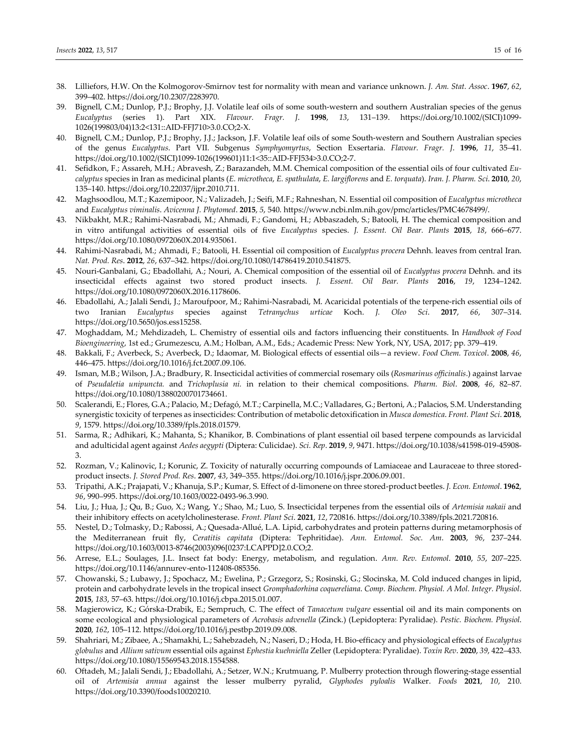- 38. Lilliefors, H.W. On the Kolmogorov-Smirnov test for normality with mean and variance unknown. *J. Am. Stat. Assoc*. **1967**, *62*, 399–402. https://doi.org/10.2307/2283970.
- 39. Bignell, C.M.; Dunlop, P.J.; Brophy, J.J. Volatile leaf oils of some south-western and southern Australian species of the genus *Eucalyptus* (series 1). Part XIX. *Flavour. Fragr. J*. **1998**, *13*, 131–139. https://doi.org/10.1002/(SICI)1099- 1026(199803/04)13:2<131::AID-FFJ710>3.0.CO;2-X.
- 40. Bignell, C.M.; Dunlop, P.J.; Brophy, J.J.; Jackson, J.F. Volatile leaf oils of some South-western and Southern Australian species of the genus *Eucalyptus*. Part VII. Subgenus *Symphyomyrtus*, Section Exsertaria. *Flavour. Fragr. J*. **1996**, *11*, 35–41. https://doi.org/10.1002/(SICI)1099-1026(199601)11:1<35::AID-FFJ534>3.0.CO;2-7.
- 41. Sefidkon, F.; Assareh, M.H.; Abravesh, Z.; Barazandeh, M.M. Chemical composition of the essential oils of four cultivated *Eucalyptus* species in Iran as medicinal plants (*E. microtheca*, *E. spathulata*, *E. largiflorens* and *E. torquata*). *Iran. J. Pharm. Sci*. **2010**, *20*, 135–140. https://doi.org/10.22037/ijpr.2010.711.
- 42. Maghsoodlou, M.T.; Kazemipoor, N.; Valizadeh, J.; Seifi, M.F.; Rahneshan, N. Essential oil composition of *Eucalyptus microtheca* and *Eucalyptus viminalis*. *Avicenna J. Phytomed*. **2015**, *5*, 540. https://www.ncbi.nlm.nih.gov/pmc/articles/PMC4678499/.
- 43. Nikbakht, M.R.; Rahimi-Nasrabadi, M.; Ahmadi, F.; Gandomi, H.; Abbaszadeh, S.; Batooli, H. The chemical composition and in vitro antifungal activities of essential oils of five *Eucalyptus* species. *J. Essent. Oil Bear. Plants* **2015**, *18*, 666–677. https://doi.org/10.1080/0972060X.2014.935061.
- 44. Rahimi-Nasrabadi, M.; Ahmadi, F.; Batooli, H. Essential oil composition of *Eucalyptus procera* Dehnh. leaves from central Iran. *Nat. Prod. Res*. **2012**, *26*, 637–342. https://doi.org/10.1080/14786419.2010.541875.
- 45. Nouri-Ganbalani, G.; Ebadollahi, A.; Nouri, A. Chemical composition of the essential oil of *Eucalyptus procera* Dehnh. and its insecticidal effects against two stored product insects. *J. Essent. Oil Bear. Plants* **2016**, *19*, 1234–1242. https://doi.org/10.1080/0972060X.2016.1178606.
- 46. Ebadollahi, A.; Jalali Sendi, J.; Maroufpoor, M.; Rahimi-Nasrabadi, M. Acaricidal potentials of the terpene-rich essential oils of two Iranian *Eucalyptus* species against *Tetranychus urticae* Koch. *J. Oleo Sci*. **2017**, *66*, 307–314. https://doi.org/10.5650/jos.ess15258.
- 47. Moghaddam, M.; Mehdizadeh, L. Chemistry of essential oils and factors influencing their constituents. In *Handbook of Food Bioengineering*, 1st ed.; Grumezescu, A.M.; Holban, A.M., Eds.; Academic Press: New York, NY, USA, 2017; pp. 379–419.
- 48. Bakkali, F.; Averbeck, S.; Averbeck, D.; Idaomar, M. Biological effects of essential oils—a review. *Food Chem. Toxicol*. **2008**, *46*, 446–475. https://doi.org/10.1016/j.fct.2007.09.106.
- 49. Isman, M.B.; Wilson, J.A.; Bradbury, R. Insecticidal activities of commercial rosemary oils (*Rosmarinus officinalis*.) against larvae of *Pseudaletia unipuncta.* and *Trichoplusia ni.* in relation to their chemical compositions. *Pharm. Biol*. **2008**, *46*, 82–87. https://doi.org/10.1080/13880200701734661.
- 50. Scalerandi, E.; Flores, G.A.; Palacio, M.; Defagó, M.T.; Carpinella, M.C.; Valladares, G.; Bertoni, A.; Palacios, S.M. Understanding synergistic toxicity of terpenes as insecticides: Contribution of metabolic detoxification in *Musca domestica*. *Front. Plant Sci*. **2018**, *9*, 1579. https://doi.org/10.3389/fpls.2018.01579.
- 51. Sarma, R.; Adhikari, K.; Mahanta, S.; Khanikor, B. Combinations of plant essential oil based terpene compounds as larvicidal and adulticidal agent against *Aedes aegypti* (Diptera: Culicidae). *Sci. Rep*. **2019**, *9*, 9471. https://doi.org/10.1038/s41598-019-45908- 3.
- 52. Rozman, V.; Kalinovic, I.; Korunic, Z. Toxicity of naturally occurring compounds of Lamiaceae and Lauraceae to three storedproduct insects. *J. Stored Prod. Res*. **2007**, *43*, 349–355. https://doi.org/10.1016/j.jspr.2006.09.001.
- 53. Tripathi, A.K.; Prajapati, V.; Khanuja, S.P.; Kumar, S. Effect of d-limonene on three stored-product beetles. *J. Econ. Entomol*. **1962**, *96*, 990–995. https://doi.org/10.1603/0022-0493-96.3.990.
- 54. Liu, J.; Hua, J.; Qu, B.; Guo, X.; Wang, Y.; Shao, M.; Luo, S. Insecticidal terpenes from the essential oils of *Artemisia nakaii* and their inhibitory effects on acetylcholinesterase. *Front. Plant Sci*. **2021**, *12*, 720816. https://doi.org/10.3389/fpls.2021.720816.
- 55. Nestel, D.; Tolmasky, D.; Rabossi, A.; Quesada-Allué, L.A. Lipid, carbohydrates and protein patterns during metamorphosis of the Mediterranean fruit fly, *Ceratitis capitata* (Diptera: Tephritidae). *Ann. Entomol. Soc. Am*. **2003**, *96*, 237–244. https://doi.org/10.1603/0013-8746(2003)096[0237:LCAPPD]2.0.CO;2.
- 56. Arrese, E.L.; Soulages, J.L. Insect fat body: Energy, metabolism, and regulation. *Ann. Rev. Entomol*. **2010**, *55*, 207–225. https://doi.org/10.1146/annurev-ento-112408-085356.
- 57. Chowanski, S.; Lubawy, J.; Spochacz, M.; Ewelina, P.; Grzegorz, S.; Rosinski, G.; Slocinska, M. Cold induced changes in lipid, protein and carbohydrate levels in the tropical insect *Gromphadorhina coquereliana*. *Comp. Biochem. Physiol. A Mol. Integr. Physiol*. **2015**, *183*, 57–63. https://doi.org/10.1016/j.cbpa.2015.01.007.
- 58. Magierowicz, K.; Górska-Drabik, E.; Sempruch, C. The effect of *Tanacetum vulgare* essential oil and its main components on some ecological and physiological parameters of *Acrobasis advenella* (Zinck.) (Lepidoptera: Pyralidae). *Pestic. Biochem. Physiol*. **2020**, *162*, 105–112. https://doi.org/10.1016/j.pestbp.2019.09.008.
- 59. Shahriari, M.; Zibaee, A.; Shamakhi, L.; Sahebzadeh, N.; Naseri, D.; Hoda, H. Bio-efficacy and physiological effects of *Eucalyptus globulus* and *Allium sativum* essential oils against *Ephestia kuehniella* Zeller (Lepidoptera: Pyralidae). *Toxin Rev*. **2020**, *39*, 422–433. https://doi.org/10.1080/15569543.2018.1554588.
- 60. Oftadeh, M.; Jalali Sendi, J.; Ebadollahi, A.; Setzer, W.N.; Krutmuang, P. Mulberry protection through flowering-stage essential oil of *Artemisia annua* against the lesser mulberry pyralid, *Glyphodes pyloalis* Walker. *Foods* **2021**, *10*, 210. https://doi.org/10.3390/foods10020210.